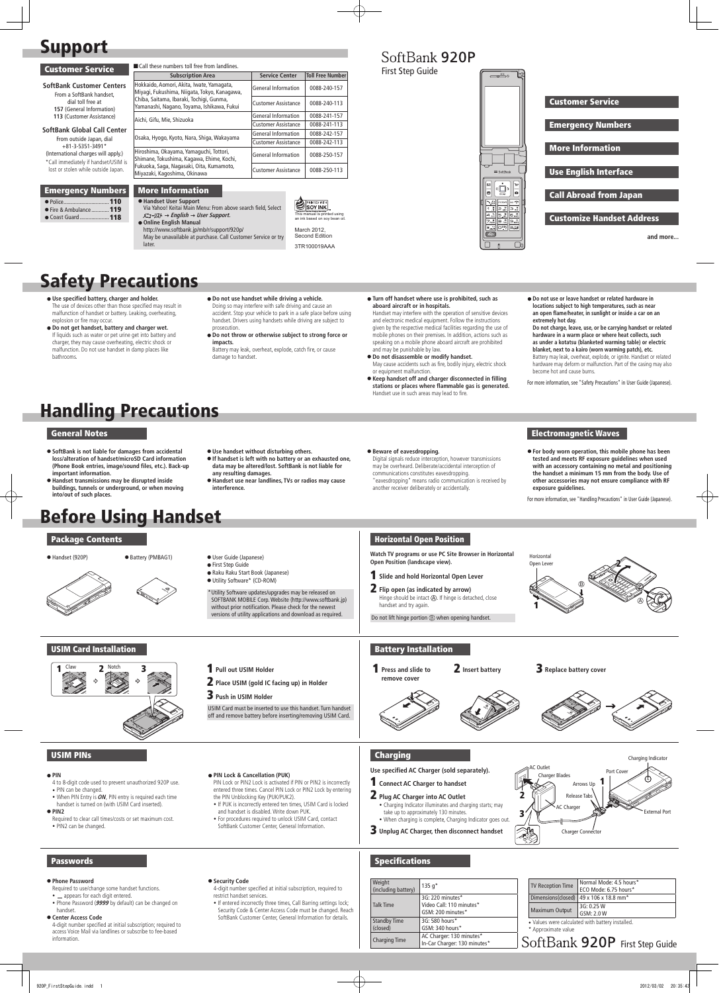# Support

 Police...............................110 ● Fire & Ambulance ............ 119<br>● Coast Guard .................... 118

| <b>Customer Service</b>                                                                                                                                                                                                                                                                                                                            | Call these numbers toll free from landlines.                                                                                                                                        |                            |                         |  |
|----------------------------------------------------------------------------------------------------------------------------------------------------------------------------------------------------------------------------------------------------------------------------------------------------------------------------------------------------|-------------------------------------------------------------------------------------------------------------------------------------------------------------------------------------|----------------------------|-------------------------|--|
|                                                                                                                                                                                                                                                                                                                                                    | <b>Subscription Area</b>                                                                                                                                                            | <b>Service Center</b>      | <b>Toll Free Number</b> |  |
| <b>SoftBank Customer Centers</b><br>From a SoftBank handset.<br>dial toll free at<br>157 (General Information)<br>113 (Customer Assistance)<br>SoftBank Global Call Center<br>From outside Japan, dial<br>$+81-3-5351-3491*$<br>(International charges will apply.)<br>*Call immediately if handset/USIM is<br>lost or stolen while outside Japan. | Hokkaido, Aomori, Akita, Iwate, Yamagata,<br>Miyagi, Fukushima, Niigata, Tokyo, Kanagawa,<br>Chiba, Saitama, Ibaraki, Tochigi, Gunma,<br>Yamanashi, Nagano, Toyama, Ishikawa, Fukui | <b>General Information</b> | 0088-240-157            |  |
|                                                                                                                                                                                                                                                                                                                                                    |                                                                                                                                                                                     | <b>Customer Assistance</b> | 0088-240-113            |  |
|                                                                                                                                                                                                                                                                                                                                                    | Aichi, Gifu, Mie, Shizuoka                                                                                                                                                          | <b>General Information</b> | 0088-241-157            |  |
|                                                                                                                                                                                                                                                                                                                                                    |                                                                                                                                                                                     | <b>Customer Assistance</b> | 0088-241-113            |  |
|                                                                                                                                                                                                                                                                                                                                                    | Osaka, Hyogo, Kyoto, Nara, Shiga, Wakayama                                                                                                                                          | <b>General Information</b> | 0088-242-157            |  |
|                                                                                                                                                                                                                                                                                                                                                    |                                                                                                                                                                                     | <b>Customer Assistance</b> | 0088-242-113            |  |
|                                                                                                                                                                                                                                                                                                                                                    | Hiroshima, Okayama, Yamaguchi, Tottori,<br>Shimane, Tokushima, Kagawa, Ehime, Kochi,<br>Fukuoka, Saga, Nagasaki, Oita, Kumamoto,<br>Miyazaki, Kagoshima, Okinawa                    | <b>General Information</b> | 0088-250-157            |  |
|                                                                                                                                                                                                                                                                                                                                                    |                                                                                                                                                                                     | <b>Customer Assistance</b> | 0088-250-113            |  |
|                                                                                                                                                                                                                                                                                                                                                    |                                                                                                                                                                                     |                            |                         |  |
| <b>Emergency Numbers</b>                                                                                                                                                                                                                                                                                                                           | <b>More Information</b>                                                                                                                                                             |                            |                         |  |
|                                                                                                                                                                                                                                                                                                                                                    | ● Handset User Support                                                                                                                                                              |                            | <b>ADA PRINTED WITH</b> |  |

**SOY INK** an *increase community*<br>ink based on soy bean oil **● Coast Guard ................... 118**  $X=I+JJk \rightarrow English \rightarrow User Support$ . This manual is printed using

# مكعت Customer Service Emergency Numbers More Information Use English Interface Call Abroad from Japan Customize Handset Address **and more...**

Via Yahoo! Keitai Main Menu: From above search field, Select

 **Online English Manual**  http://www.softbank.jp/mb/r/support/920p/ May be unavailable at purchase. Call Customer Service or try later.

3TR100019AAA

First Step Guide

SoftBank 920P

# Safety Precautions

# Handling Precautions

- **Use specified battery, charger and holder.**  The use of devices other than those specified may result in malfunction of handset or battery. Leaking, overheating, explosion or fire may occur.
- **Do not get handset, battery and charger wet.**  If liquids such as water or pet urine get into battery and charger, they may cause overheating, electric shock or malfunction. Do not use handset in damp places like bathrooms.
- **Do not use handset while driving a vehicle.**  Doing so may interfere with safe driving and cause an accident. Stop your vehicle to park in a safe place before using handset. Drivers using handsets while driving are subject to prosecution.
- **Do not throw or otherwise subject to strong force or impacts.**

Battery may leak, overheat, explode, catch fire, or cause damage to handset.

 **Turn off handset where use is prohibited, such as aboard aircraft or in hospitals.** 

- **•** First Step Guide Raku Raku Start Book (Japanese)
- Utility Software\* (CD-ROM)

# Handset may interfere with the operation of sensitive devices

and electronic medical equipment. Follow the instructions given by the respective medical facilities regarding the use of mobile phones on their premises. In addition, actions such as speaking on a mobile phone aboard aircraft are prohibited and may be punishable by law.

1 **Press and slide to**  remove cover

#### **2** Insert battery **3** Replace battery cover





Required to clear call times/costs or set maximum cost. • PIN2 can be changed.

- **Do not disassemble or modify handset.**  May cause accidents such as fire, bodily injury, electric shock or equipment malfunction.
- **Keep handset off and charger disconnected in filling stations or places where flammable gas is generated.**  Handset use in such areas may lead to fire.

#### **Do not use or leave handset or related hardware in locations subject to high temperatures, such as near an open flame/heater, in sunlight or inside a car on an extremely hot day. Do not charge, leave, use, or be carrying handset or related hardware in a warm place or where heat collects, such as under a kotatsu (blanketed warming table) or electric blanket, next to a kairo (worn warming patch), etc.**  Battery may leak, overheat, explode, or ignite. Handset or related hardware may deform or malfunction. Part of the casing may also become hot and cause burns.

- $\_\$  appears for each digit entered.
- Phone Password (**9999** by default) can be changed on handset.

For more information, see "Safety Precautions" in User Guide (Japanese).

#### General Notes

- **SoftBank is not liable for damages from accidental loss/alteration of handset/microSD Card information (Phone Book entries, image/sound files, etc.). Back-up important information.**
- **Handset transmissions may be disrupted inside buildings, tunnels or underground, or when moving into/out of such places.**

 **Use handset without disturbing others.** 

 **If handset is left with no battery or an exhausted one, data may be altered/lost. SoftBank is not liable for** 

**any resulting damages.**

 **Handset use near landlines, TVs or radios may cause** 

**interference.**

#### **Beware of eavesdropping.**

Digital signals reduce interception, however transmissions may be overheard. Deliberate/accidental interception of communications constitutes eavesdropping. "eavesdropping" means radio communication is received by another receiver deliberately or accidentally.

 **For body worn operation, this mobile phone has been tested and meets RF exposure guidelines when used with an accessory containing no metal and positioning the handset a minimum 15 mm from the body. Use of other accessories may not ensure compliance with RF exposure guidelines.**

For more information, see "Handling Precautions" in User Guide (Japanese).

### Electromagnetic Waves

# Before Using Handset

#### Package Contents

● Handset (920P) ● Battery (PMBAG1) ● User Guide (Japanese)

\*Utility Software updates/upgrades may be released on SOFTBANK MOBILE Corp. Website (http://www.softbank.jp) without prior notification. Please check for the newest versions of utility applications and download as required.

## Horizontal Open Position

**Watch TV programs or use PC Site Browser in Horizontal Open Position (landscape view).** 

## USIM Card Installation

- **Pull out USIM Holder**
- 2 **Place USIM (gold IC facing up) in Holder**
- 3 **Push in USIM Holder**

USIM Card must be inserted to use this handset. Turn handset off and remove battery before inserting/removing USIM Card.

## Battery Installation

#### USIM PINs

#### **• PIN**

- 4 to 8-digit code used to prevent unauthorized 920P use.
- PIN can be changed.
- When PIN Entry is ON, PIN entry is required each time handset is turned on (with USIM Card inserted).

#### **• PIN2**

#### **PIN Lock & Cancellation (PUK)**

- PIN Lock or PIN2 Lock is activated if PIN or PIN2 is incorrectly entered three times. Cancel PIN Lock or PIN2 Lock by entering the PIN Unblocking Key (PUK/PUK2).
- If PUK is incorrectly entered ten times, USIM Card is locked and handset is disabled.Write down PUK.
- For procedures required to unlock USIM Card, contact SoftBank Customer Center, General Information.

#### **Charging**



### 1 **Connect AC Charger to handset**

### 2 **Plug AC Charger into AC Outlet**



- Charging Indicator illuminates and charging starts; may take up to approximately 130 minutes
- When charging is complete, Charging Indicator goes out.
- 3 **Unplug AC Charger, then disconnect handset**

#### Passwords

#### **Phone Password**

Required to use/change some handset functions.

#### **Center Access Code**

4-digit number specified at initial subscription; required to access Voice Mail via landlines or subscribe to fee-based information.

#### $\bullet$  Security Code

- 4-digit number specified at initial subscription, required to restrict handset services.
- If entered incorrectly three times, Call Barring settings lock; Security Code & Center Access Code must be changed. Reach SoftBank Customer Center, General Information for details.

#### Specifications

| Weight<br>(including battery)   | $135q*$                                                           |
|---------------------------------|-------------------------------------------------------------------|
| <b>Talk Time</b>                | 3G: 220 minutes*<br>Video Call: 110 minutes*<br>GSM: 200 minutes* |
| <b>Standby Time</b><br>(closed) | 3G: 580 hours*<br>GSM: 340 hours*                                 |
| <b>Charging Time</b>            | AC Charger: 130 minutes*<br>In-Car Charger: 130 minutes*          |

| <b>TV Reception Time</b> | Normal Mode: 4.5 hours*<br>ECO Mode: 6.75 hours*     |
|--------------------------|------------------------------------------------------|
|                          | Dimensions(closed)   49 x 106 x 18.8 mm <sup>*</sup> |
| <b>Maximum Output</b>    | 3G: 0.25 W<br>GSM: 2.0 W                             |



 Values were calculated with battery installed.

\* Approximate value



#### **Use specified AC Charger (sold separately).**

- 1 **Slide and hold Horizontal Open Lever**
- 2 **Flip open (as indicated by arrow)** Hinge should be intact (A). If hinge is detached, close handset and try again.

Do not lift hinge portion  $\circledB$  when opening handset.

March 2012, Second Edition